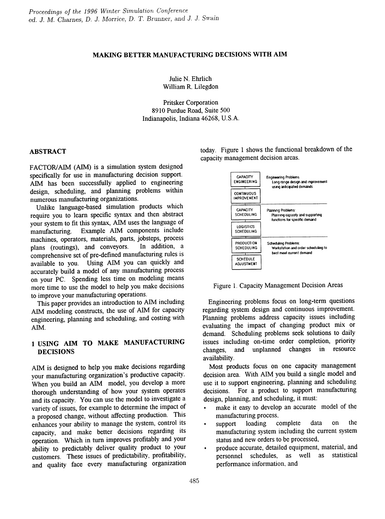# MAKING BETTER MANUFACTURING DECISIONS WITH AIM

Julie N. Ehrlich William R. Lilegdon

Pritsker Corporation 8910 Purdue Road, Suite 500 Indianapolis, Indiana 46268, U.S.A.

# ABSTRACT

FACTOR/AIM (AIM) is a simulation system designed specifically for use in manufacturing decision support. AIM has been successfully applied to engineering design, scheduling, and planning problems within numerous manufacturing organizations.

Unlike language-based simulation products which require you to learn specific syntax and then abstract your system to fit this syntax, AIM uses the language of manufacturing. Example AIM components include machines, operators, materials, parts, jobsteps, process plans (routings), and conveyors. In addition, a comprehensive set of pre-defined manufacturing rules is available to you. Using AIM you can quickly and accurately build a model of any manufacturing process on your PC. Spending less time on modeling means more time to use the model to help you make decisions to improve your manufacturing operations.

This paper provides an introduction to AIM including AIM modeling constructs, the use of AIM for capacity engineering, planning and scheduling, and costing with AIM.

# 1 USING AIM TO MAKE MANUFACTURING DECISIONS

AIM is designed to help you make decisions regarding your manufacturing organization's productive capacity. When you build an AIM model, you develop a more thorough understanding of how your system operates and its capacity. You can use the model to investigate a variety of issues, for example to determine the impact of a proposed change, without affecting production. This enhances your ability to manage the system, control its capacity, and make better decisions regarding its operation. Which in turn improves profitably and your ability to predictably deliver quality product to your customers. These issues of predictability, profitability, and quality face every manufacturing organization today. Figure 1 shows the functional breakdown of the capacity management decision areas.

| CAPACITY<br><b>ENGINEERING</b>         | <b>Engineering Problems</b><br>Long range design and improvement<br>using anticipated demands. |  |
|----------------------------------------|------------------------------------------------------------------------------------------------|--|
| <b>CONTINUOUS</b><br>IMPROVEMENT       |                                                                                                |  |
| <b>CAPACITY</b><br><b>SCHEDULING</b>   | Planning Problems:<br>Planning capacity and supporting<br>functions for specific demand        |  |
| <b>LOGISTICS</b><br><b>SCHEDULING</b>  |                                                                                                |  |
| <b>PRODUCTION</b><br><b>SCHEDULING</b> | <b>Scheduling Problems:</b><br>Workstation and order scheduling to<br>hest meet current demand |  |
| <b>SCHEDULE</b><br>ADJUSTMENT          |                                                                                                |  |



Engineering problems focus on long-term questions regarding system design and continuous improvement. Planning problems address capacity issues including evaluating the impact of changing product mix or demand. Scheduling problems seek solutions to daily issues including on-time order completion, priority changes, and unplanned changes in resource availability.

Most products focus on one capacity management decision area. With AIM you build a single model and use it to support engineering, planning and scheduling decisions. For a product to support manufacturing design, planning, and scheduling, it must:

- make it easy to develop an accurate model of the manufacturing process.<br>support loading complete
- support loading complete data on the manufacturing system including the current system status and new orders to be processed,
- produce accurate, detailed equipment, material, and personnel schedules, as well as statistical performance information, and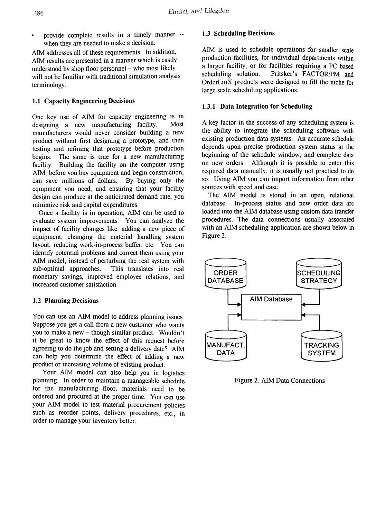provide complete results in a timely manner - when they are needed to make a decision.

AIM addresses all of these requirements. In addition, AIM results are presented in a manner which is easily understood by shop floor personnel  $-$  who most likely will not be familiar with traditional simulation analysis terminology.

#### 1.1 Capacity Engineering Decisions

One key use of AIM for capacity engineering is in designing a new manufacturing facility. Most manufacturers would never consider building a new product without first designing a prototype, and then testing and refining that prototype before production begins. The same is true for a new manufacturing facility. Building the facility on the computer using AIM, before you buy equipment and begin construction, can save millions of dollars. By buying only the equipment you need, and ensuring that your facility design can produce at the anticipated demand rate, you minimize risk and capital expenditures.

Once a facility is in operation, AIM can be used to evaluate system improvements. You can analyze the impact of facility changes like: adding a new piece of equipment, changing the material handling system layout, reducing work-in-process buffer, etc. You can identify potential problems and correct them using your AIM model, instead of perturbing the real system with sub-optimal approaches. This translates into real monetary savings, improved employee relations, and increased customer satisfaction.

#### 1.2 Planning Decisions

You can use an AIM model to address planning issues. Suppose you get a call from a new customer who wants you to make a new - though similar product. Wouldn't it be great to know the effect of this request before agreeing to do the job and setting a delivery date? AIM can help you detennine the effect of adding a new product or increasing volume of existing product.

Your AIM model can also help you in logistics planning. In order to maintain a manageable schedule for the manufacturing floor, materials need to be ordered and procured at the proper time. You can use your AIM model to test material procurement policies such as reorder points, delivery procedures, etc., in order to manage your inventory better.

#### 1.3 Scheduling Decisions

AIM is used to schedule operations for smaller scale production facilities, for individual departments within a larger facility, or for facilities requiring a PC based scheduling solution. Pritsker's FACTOR/PM and OrderLinX products were designed to fill the niche for large scale scheduling applications.

### 1.3.1 Data Integration for Scheduling

A key factor in the success of any scheduling system is the ability to integrate the scheduling software with existing production data systems. An accurate schedule depends upon precise production system status at the beginning of the schedule window, and complete data on new orders. Although it is possible to enter this required data manually, it is usually not practical to do so. Using AIM you can import information from other sources with speed and ease.

The AIM model is stored in an open, relational database. In-process status and new order data are loaded into the AIM database using custom data transfer procedures. The data connections usually associated with an AIM scheduling application are shown below in Figure 2.



Figure 2. AIM Data Connections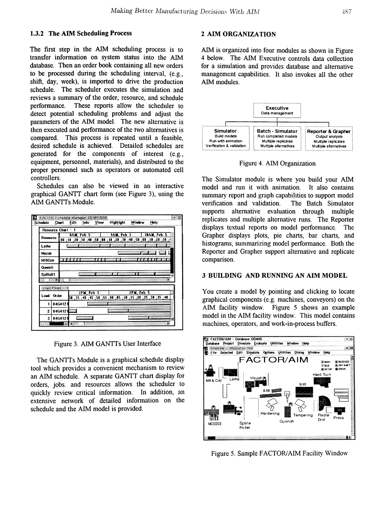#### 1.3.2 The AIM Scheduling Process 2 AIM ORGANIZATION

The first step in the AIM scheduling process is to transfer information on system status into the AIM database. Then an order book containing all new orders to be processed during the scheduling interval, (e.g., shift, day, week), is imported to drive the production schedule. The scheduler executes the simulation and reviews a summary of the order, resource, and schedule performance. These reports allow the scheduler to detect potential scheduling problems and adjust the parameters of the AIM model. The new alternative is then executed and performance of the two alternatives is compared. This process is repeated until a feasible, desired schedule is achieved. Detailed schedules are generated for the components of interest (e.g., equipment, personnel, materials), and distributed to the proper personnel such as operators or automated cell controllers.

Schedules can also be viewed in an interactive graphical GANTT chart form (see Figure 3), using the AIM GANTTs Module.

|                |                    | Resource Chart - 1 |            |           |                                                                                      |                   |           |                                   |  |
|----------------|--------------------|--------------------|------------|-----------|--------------------------------------------------------------------------------------|-------------------|-----------|-----------------------------------|--|
| Resource       |                    |                    | SAM. Feb 5 |           | <u>30; 20; 20; 20; 20; 20; 20; 20; 20; 21; 20; 21; 20; 40; 20; 21; 20; </u>          | <b>9AM, Feb 5</b> |           | 18AM Feb 5                        |  |
| Lathe          |                    |                    |            |           | <b>Execute commenced come processed</b> commenced come formul                        |                   |           |                                   |  |
| Mazak          |                    |                    |            |           |                                                                                      |                   |           | <b>Commodorations   655 Block</b> |  |
| <b>MILCntr</b> |                    |                    |            |           | 23 B G G G G G G G GODDODDOL A' AL G GODDOD AS AS GODDODODOL A A A G A G A G A G G A |                   |           |                                   |  |
| <b>Ouench</b>  |                    |                    |            |           |                                                                                      |                   |           |                                   |  |
| SplRoll 1      |                    |                    |            |           |                                                                                      |                   |           |                                   |  |
|                | 88 M S             |                    |            |           |                                                                                      |                   |           |                                   |  |
|                | <b>Crew Fisher</b> |                    |            |           |                                                                                      |                   |           |                                   |  |
| Load           | <b>Order</b>       |                    |            | IPM Feb 5 | A0 : 25 : 40 : 25 : 20 : 25 : 10 : 25 : 00 : 25 : 00 : 25 : 00 : 26 : 10 : 26 : 08   |                   | 2PM Feb 5 |                                   |  |
|                | 84G4121            |                    |            |           |                                                                                      |                   |           |                                   |  |
| 2              |                    | 84G4121            |            |           |                                                                                      |                   |           |                                   |  |
| 3              | 84G412             |                    | --------   |           |                                                                                      |                   |           |                                   |  |

Figure 3. AIM GANTTs User Interface

The *GANTTs* Module is a graphical schedule display tool which provides a convenient mechanism to review an AIM schedule. A separate GANTT chart display for orders, jobs. and resources allows the scheduler to quickly review critical information. In addition, an extensive network of detailed information on the schedule and the AIM model is provided.

AIM is organized into four modules as shown in Figure 4 below. The AIM Executive controls data collection for a simulation and provides database and alternative management capabilities. It also invokes all the other AIM modules.



Figure 4. AIM Organization

The Simulator module is where you build your AIM model and run it with animation. It also contains summary report and graph capabilities to support model verification and validation. The Batch Simulator supports alternative evaluation through multiple replicates and multiple alternative runs. The Reporter displays textual reports on model performance. The Grapher displays plots, pie charts, bar charts, and histograms, summarizing model performance. Both the Reporter and Grapher support alternative and replicate comparison.

# 3 BUILDING AND RUNNING AN AIM MODEL

You create a model by pointing and clicking to locate graphical components (e.g. machines, conveyors) on the AIM facility window. Figure 5 shows an example model in the AIM facility window. This model contains machines, operators, and work-in-process buffers.



Figure 5. Sample FACTOR/AIM Facility Window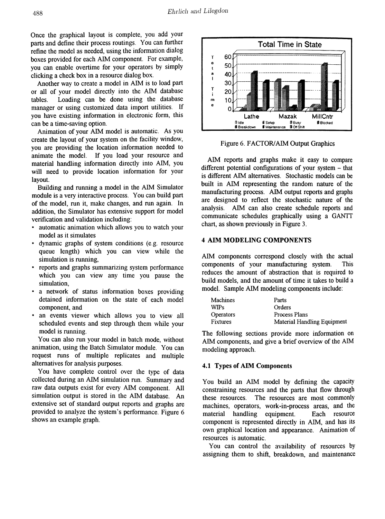Once the graphical layout is complete, you add your parts and define their process routings. You can further refine the model as needed, using the information dialog boxes provided for each AIM component. For example, you can enable overtime for your operators by simply clicking a check box in a resource dialog box.

Another way to create a model in AIM is to load part or all of your model directly into the AIM database tables. Loading can be done using the database manager or using customized data import utilities. If you have existing information in electronic form, this can be a time-saving option.

Animation of your AIM model is automatic. As you create the layout of your system on the facility window, you are providing the location information needed to animate the model. If you load your resource and material handling information directly into AIM, you will need to provide location information for your layout.

Building and running a model in the AIM Simulator module is a very interactive process. You can build part of the model, run it, make changes, and run again. In addition, the Simulator has extensive support for model verification and validation including:

- automatic animation which allows you to watch your model as it simulates
- dynamic graphs of system conditions (e.g. resource queue length) which you can view while the simulation is running,
- reports and graphs summarizing system performance which you can view any time you pause the simulation,
- a network of status information boxes providing detained information on the state of each model component, and
- an events viewer which allows you to view all scheduled events and step through them while your model is running.

You can also run your model in batch mode, without animation, using the Batch Simulator module. You can request runs of multiple replicates and multiple alternatives for analysis purposes.

You have complete control over the type of data collected during an AIM simulation run. Summary and raw data outputs exist for every AIM component. All simulation output is stored in the AIM database. An extensive set of standard output reports and graphs are provided to analyze the system's performance. Figure 6 shows an example graph.



Figure 6. FACTOR/AIM Output Graphics

AIM reports and graphs make it easy to compare different potential configurations of your system - that is different AIM alternatives. Stochastic models can be built in AIM representing the random nature of the manufacturing process. AIM output reports and graphs are designed to reflect the stochastic nature of the analysis. AIM can also create schedule reports and communicate schedules graphically using a GANTT chart, as shown previously in Figure 3.

#### 4 AIM MODELING COMPONENTS

AIM components correspond closely with the actual components of your manufacturing system. This reduces the amount of abstraction that is required to build models, and the amount of time it takes to build a model. Sample AIM modeling components include:

| Machines        | Parts                       |
|-----------------|-----------------------------|
| <b>WIPs</b>     | Orders                      |
| Operators       | Process Plans               |
| <b>Fixtures</b> | Material Handling Equipment |

The following sections provide more information on AIM components, and give a brief overview of the AIM modeling approach.

# 4.1 Types of AIM Components

You build an AIM model by defining the capacity constraining resources and the parts that flow through these resources. The resources are most commonly machines, operators, work-in-process areas, and the material handling equipment. Each resource component is represented directly in AIM, and has its own graphical location and appearance. Animation of resources is automatic.

You can control the availability of resources by assigning them to shift, breakdown, and maintenance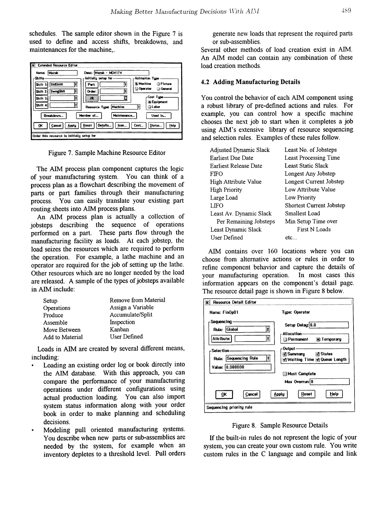schedules. The sample editor shown in the Figure 7 is used to define and access shifts, breakdowns, and maintenances for the machine,.

| Mazak<br>Name:                                                                 | Desc: Mazak - MD4174                              |                                                                                   |
|--------------------------------------------------------------------------------|---------------------------------------------------|-----------------------------------------------------------------------------------|
| -Shifts-<br>K<br>StdShift<br>lshift 1:<br>E<br>SwngShit<br>Shift <sub>2:</sub> | Initially setup for-<br>Þ<br>Part<br>F.<br>Order: | Animation Type<br>实: Machine<br><b>Of</b> Fixture<br>⊙ Operator<br><b>Coneral</b> |
| D<br>Shift 3:<br>Ŀ.<br>Shift 4:                                                | ĸ<br>X,<br><b>SANCE</b><br>Resource Type: Machine | -Cost Type<br><b>Sk Equipment</b><br>E<br><b>R</b> Labor                          |
| Breakdown                                                                      | Member of<br>Maintenance                          | Used In                                                                           |
| Cancel<br>Apply<br>ōĸ                                                          | Details<br>Reset<br>lcon                          | Status<br>Cost<br>Help                                                            |

Figure 7. Sample Machine Resource Editor

The AIM process plan component captures the logic of your manufacturing system. You can think of a process plan as a flowchart describing the movement of parts or part families through their manufacturing process. You can easily translate your existing part routing sheets into AIM process plans.

An AIM process plan is actually a collection of jobsteps describing the sequence of operations performed on a part. These parts flow through the manufacturing facility as loads. At each jobstep, the load seizes the resources which are required to perform the operation. For example, a lathe machine and an operator are required for the job of setting up the lathe. Other resources which are no longer needed by the load are released. A sample of the types of jobsteps available in AIM include:

| Setup           | Remove from Material |
|-----------------|----------------------|
| Operations      | Assign a Variable    |
| Produce         | Accumulate/Split     |
| Assemble        | Inspection           |
| Move Between    | Kanban               |
| Add to Material | User Defined         |

Loads in AIM are created by several different means, including:

- Loading an existing order log or book directly into the AIM database. With this approach, you can compare the performance of your manufacturing operations under different configurations using actual production loading. You can also import system status information along with your order book in order to make planning and scheduling decisions.
- Modeling pull oriented manufacturing systems. You describe when new parts or sub-assemblies are needed by the system, for example when an inventory depletes to a threshold level. Pull orders

generate new loads that represent the required parts or sub-assemblies.

Several other methods of load creation exist in AIM. An AIM model can contain any combination of these load creation methods.

#### 4.2 Adding Manufacturing Details

You control the behavior of each AIM component using a robust library of pre-defined actions and rules. For example, you can control how a specific machine chooses the next job to start when it completes a job using AIM's extensive library of resource sequencing and selection rules. Examples of these rules follow.

| Least No. of Jobsteps           |
|---------------------------------|
| Least Processing Time           |
| Least Static Slack              |
| Longest Any Jobstep             |
| Longest Current Jobstep         |
| Low Attribute Value             |
| Low Priority                    |
| <b>Shortest Current Jobstep</b> |
| Smallest Load                   |
| Min Setup Time over             |
| First N Loads                   |
| etc                             |
|                                 |

AIM contains over 160 locations where you can choose from alternative actions or rules in order to refine component behavior and capture the details of your manufacturing operation. In most cases this information appears on the component's detail page. The resource detail page is shown in Figure 8 below.

| Name: FinOpO1                                                                                  | Type: Operator                                                                                                                                     |
|------------------------------------------------------------------------------------------------|----------------------------------------------------------------------------------------------------------------------------------------------------|
| Sequencing<br>Γ<br>Rula: Global<br>B<br>Attribute:<br>Selection-<br>E<br>Rule: Sequencing Rule | Setup Delay: 0.0<br><b>Allocation</b><br>※ Permanent ※ Temporary<br>- Output -<br>⊰§ Summary<br><b>States</b><br>Sol Waiting Time Sol Queue Length |
| Value: 0.000000                                                                                | <b>Si Must Complete</b><br>Max Overrun: 0                                                                                                          |
| Cancel<br>ОK                                                                                   | Help<br>Reset<br>Apply                                                                                                                             |
| Sequencing priority rule                                                                       |                                                                                                                                                    |

Figure 8. Sample Resource Details

If the built-in rules do not represent the logic of your system, you can create your own custom rule. You write custom rules in the C language and compile and link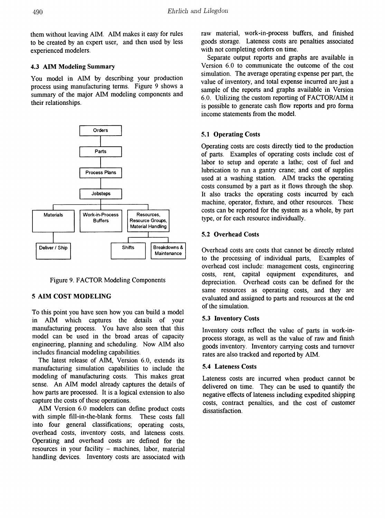them without leaving AIM. AIM makes it easy for rules to be created by an exrpert user, and then used by less experienced modelers.

### 4.3 AIM Modeling Summary

You model in AIM by describing your production process using manufacturing terms. Figure 9 shows a summary of the major AIM modeling components and their relationships.





# 5 AIM COST MODELING

To this point you have seen how you can build a model in AIM which captures the details of your manufacturing process. You have also seen that this model can be used in the broad areas of capacity engineering, planning and scheduling. Now AIM also includes financial modeling capabilities.

The latest release of AIM, Version 6.0, extends its manufacturing simulation capabilities to include the modeling of manufacturing costs. This makes great sense. An AIM model already captures the details of how parts are processed. It is a logical extension to also capture the costs of these operations.

AIM Version 6.0 modelers can define product costs with simple fill-in-the-blank forms. These costs fall into four general classifications; operating costs, overhead costs, inventory costs, and lateness costs. Operating and overhead costs are defined for the resources in your facility - machines, labor, material handling devices. Inventory costs are associated with raw material, work-in-process buffers, and finished goods storage. Lateness costs are penalties associated with not completing orders on time.

Separate output reports and graphs are available in Version 6.0 to communicate the outcome of the cost simulation. The average operating expense per part, the value of inventory, and total expense incurred are just a sample of the reports and graphs available in Version 6.0. Utilizing the custom reporting of FACTOR/AIM it is possible to generate cash flow reports and pro forma income statements from the model.

# 5.1 Operating Costs

Operating costs are costs directly tied to the production of parts. Examples of operating costs include cost of labor to setup and operate a lathe; cost of fuel and lubrication to run a gantry crane; and cost of supplies used at a washing station. AIM tracks the operating costs consumed by a part as it flows through the shop. It also tracks the operating costs incurred by each machine, operator, fixture, and other resources. These costs can be reported for the system as a whole, by part type, or for each resource individually.

### 5.2 Overhead Costs

Overhead costs are costs that cannot be directly related to the processing of individual parts, Examples of overhead cost include: management costs, engineering costs, rent, capital equipment expenditures, and depreciation. Overhead costs can be defined for the same resources as operating costs, and they are evaluated and assigned to parts and resources at the end of the simulation.

#### 5.3 Inventory Costs

Inventory costs reflect the value of parts in work-inprocess storage, as well as the value of raw and finish goods inventory. Inventory carrying costs and turnover rates are also tracked and reported by AIM.

#### 5.4 Lateness Costs

Lateness costs are incurred when product cannot be delivered on time. They can be used to quantify the negative effects of lateness including expedited shipping costs, contract penalties, and the cost of customer dissatisfaction.